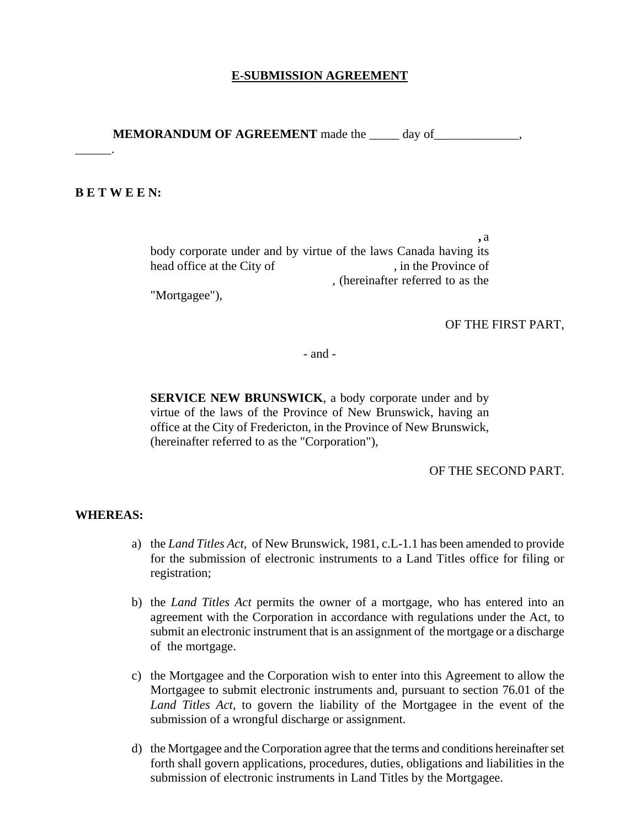#### **E-SUBMISSION AGREEMENT**

**MEMORANDUM OF AGREEMENT** made the day of  $\qquad$ ,

#### **B E T W E E N:**

 $\overline{\phantom{a}}$ .

 **,** a body corporate under and by virtue of the laws Canada having its head office at the City of , in the Province of , (hereinafter referred to as the

"Mortgagee"),

#### OF THE FIRST PART,

- and -

**SERVICE NEW BRUNSWICK**, a body corporate under and by virtue of the laws of the Province of New Brunswick, having an office at the City of Fredericton, in the Province of New Brunswick, (hereinafter referred to as the "Corporation"),

OF THE SECOND PART.

#### **WHEREAS:**

- a) the *Land Titles Act*, of New Brunswick, 1981, c.L-1.1 has been amended to provide for the submission of electronic instruments to a Land Titles office for filing or registration;
- b) the *Land Titles Act* permits the owner of a mortgage, who has entered into an agreement with the Corporation in accordance with regulations under the Act, to submit an electronic instrument that is an assignment of the mortgage or a discharge of the mortgage.
- c) the Mortgagee and the Corporation wish to enter into this Agreement to allow the Mortgagee to submit electronic instruments and, pursuant to section 76.01 of the *Land Titles Act*, to govern the liability of the Mortgagee in the event of the submission of a wrongful discharge or assignment.
- d) the Mortgagee and the Corporation agree that the terms and conditions hereinafter set forth shall govern applications, procedures, duties, obligations and liabilities in the submission of electronic instruments in Land Titles by the Mortgagee.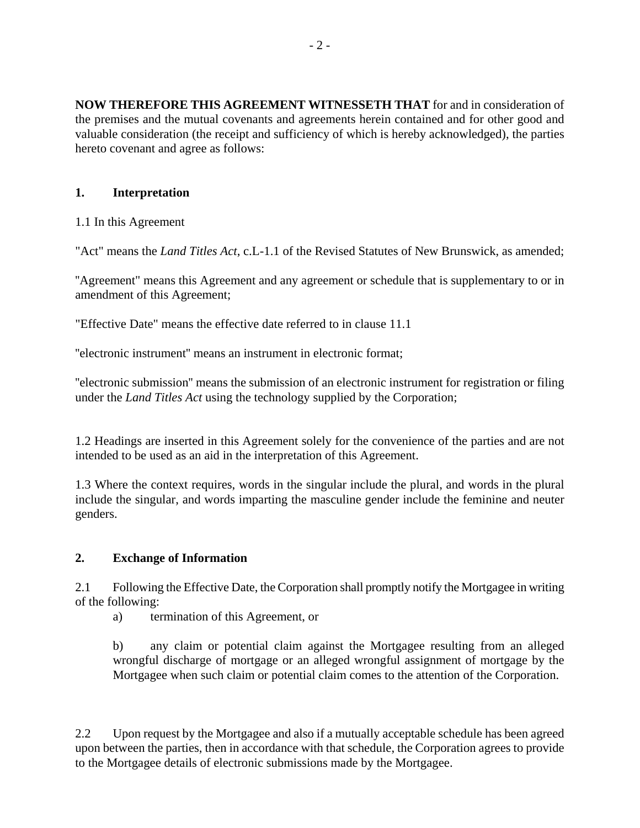**NOW THEREFORE THIS AGREEMENT WITNESSETH THAT** for and in consideration of the premises and the mutual covenants and agreements herein contained and for other good and valuable consideration (the receipt and sufficiency of which is hereby acknowledged), the parties hereto covenant and agree as follows:

## **1. Interpretation**

1.1 In this Agreement

"Act" means the *Land Titles Act*, c.L-1.1 of the Revised Statutes of New Brunswick, as amended;

''Agreement" means this Agreement and any agreement or schedule that is supplementary to or in amendment of this Agreement;

"Effective Date" means the effective date referred to in clause 11.1

''electronic instrument'' means an instrument in electronic format;

''electronic submission'' means the submission of an electronic instrument for registration or filing under the *Land Titles Act* using the technology supplied by the Corporation;

1.2 Headings are inserted in this Agreement solely for the convenience of the parties and are not intended to be used as an aid in the interpretation of this Agreement.

1.3 Where the context requires, words in the singular include the plural, and words in the plural include the singular, and words imparting the masculine gender include the feminine and neuter genders.

## **2. Exchange of Information**

2.1 Following the Effective Date, the Corporation shall promptly notify the Mortgagee in writing of the following:

a) termination of this Agreement, or

b) any claim or potential claim against the Mortgagee resulting from an alleged wrongful discharge of mortgage or an alleged wrongful assignment of mortgage by the Mortgagee when such claim or potential claim comes to the attention of the Corporation.

2.2 Upon request by the Mortgagee and also if a mutually acceptable schedule has been agreed upon between the parties, then in accordance with that schedule, the Corporation agrees to provide to the Mortgagee details of electronic submissions made by the Mortgagee.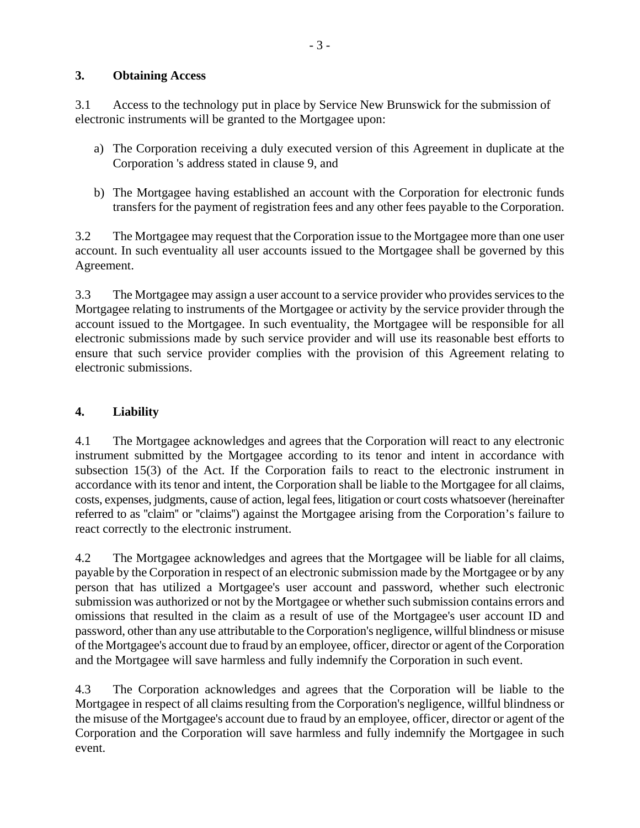## **3. Obtaining Access**

3.1 Access to the technology put in place by Service New Brunswick for the submission of electronic instruments will be granted to the Mortgagee upon:

- a) The Corporation receiving a duly executed version of this Agreement in duplicate at the Corporation 's address stated in clause 9, and
- b) The Mortgagee having established an account with the Corporation for electronic funds transfers for the payment of registration fees and any other fees payable to the Corporation.

3.2 The Mortgagee may request that the Corporation issue to the Mortgagee more than one user account. In such eventuality all user accounts issued to the Mortgagee shall be governed by this Agreement.

3.3 The Mortgagee may assign a user account to a service provider who provides services to the Mortgagee relating to instruments of the Mortgagee or activity by the service provider through the account issued to the Mortgagee. In such eventuality, the Mortgagee will be responsible for all electronic submissions made by such service provider and will use its reasonable best efforts to ensure that such service provider complies with the provision of this Agreement relating to electronic submissions.

# **4. Liability**

4.1 The Mortgagee acknowledges and agrees that the Corporation will react to any electronic instrument submitted by the Mortgagee according to its tenor and intent in accordance with subsection 15(3) of the Act. If the Corporation fails to react to the electronic instrument in accordance with its tenor and intent, the Corporation shall be liable to the Mortgagee for all claims, costs, expenses, judgments, cause of action, legal fees, litigation or court costs whatsoever (hereinafter referred to as ''claim'' or ''claims'') against the Mortgagee arising from the Corporation's failure to react correctly to the electronic instrument.

4.2 The Mortgagee acknowledges and agrees that the Mortgagee will be liable for all claims, payable by the Corporation in respect of an electronic submission made by the Mortgagee or by any person that has utilized a Mortgagee's user account and password, whether such electronic submission was authorized or not by the Mortgagee or whether such submission contains errors and omissions that resulted in the claim as a result of use of the Mortgagee's user account ID and password, other than any use attributable to the Corporation's negligence, willful blindness or misuse of the Mortgagee's account due to fraud by an employee, officer, director or agent of the Corporation and the Mortgagee will save harmless and fully indemnify the Corporation in such event.

4.3 The Corporation acknowledges and agrees that the Corporation will be liable to the Mortgagee in respect of all claims resulting from the Corporation's negligence, willful blindness or the misuse of the Mortgagee's account due to fraud by an employee, officer, director or agent of the Corporation and the Corporation will save harmless and fully indemnify the Mortgagee in such event.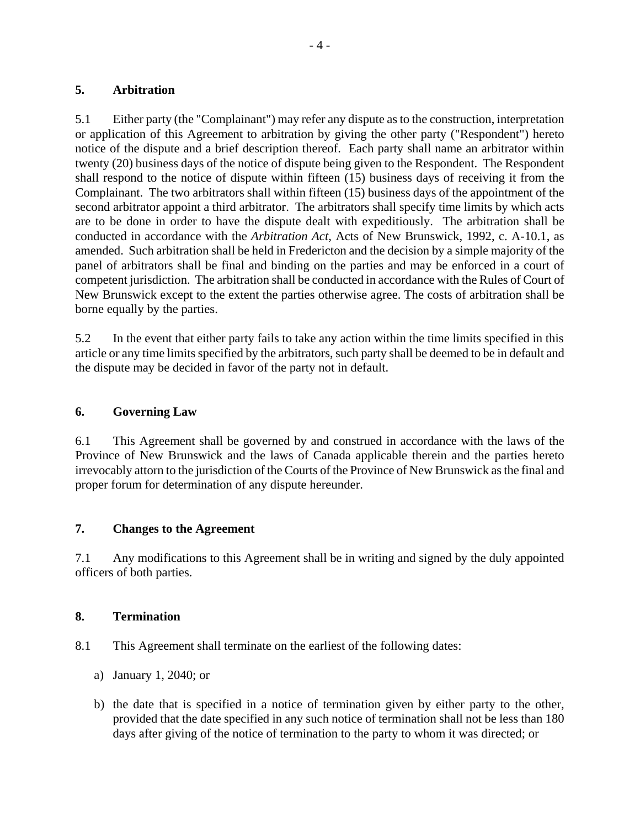#### **5. Arbitration**

5.1 Either party (the "Complainant") may refer any dispute as to the construction, interpretation or application of this Agreement to arbitration by giving the other party ("Respondent") hereto notice of the dispute and a brief description thereof. Each party shall name an arbitrator within twenty (20) business days of the notice of dispute being given to the Respondent. The Respondent shall respond to the notice of dispute within fifteen (15) business days of receiving it from the Complainant. The two arbitrators shall within fifteen (15) business days of the appointment of the second arbitrator appoint a third arbitrator. The arbitrators shall specify time limits by which acts are to be done in order to have the dispute dealt with expeditiously. The arbitration shall be conducted in accordance with the *Arbitration Act*, Acts of New Brunswick, 1992, c. A-10.1, as amended. Such arbitration shall be held in Fredericton and the decision by a simple majority of the panel of arbitrators shall be final and binding on the parties and may be enforced in a court of competent jurisdiction. The arbitration shall be conducted in accordance with the Rules of Court of New Brunswick except to the extent the parties otherwise agree. The costs of arbitration shall be borne equally by the parties.

5.2 In the event that either party fails to take any action within the time limits specified in this article or any time limits specified by the arbitrators, such party shall be deemed to be in default and the dispute may be decided in favor of the party not in default.

### **6. Governing Law**

6.1 This Agreement shall be governed by and construed in accordance with the laws of the Province of New Brunswick and the laws of Canada applicable therein and the parties hereto irrevocably attorn to the jurisdiction of the Courts of the Province of New Brunswick as the final and proper forum for determination of any dispute hereunder.

## **7. Changes to the Agreement**

7.1 Any modifications to this Agreement shall be in writing and signed by the duly appointed officers of both parties.

#### **8. Termination**

8.1 This Agreement shall terminate on the earliest of the following dates:

- a) January 1, 2040; or
- b) the date that is specified in a notice of termination given by either party to the other, provided that the date specified in any such notice of termination shall not be less than 180 days after giving of the notice of termination to the party to whom it was directed; or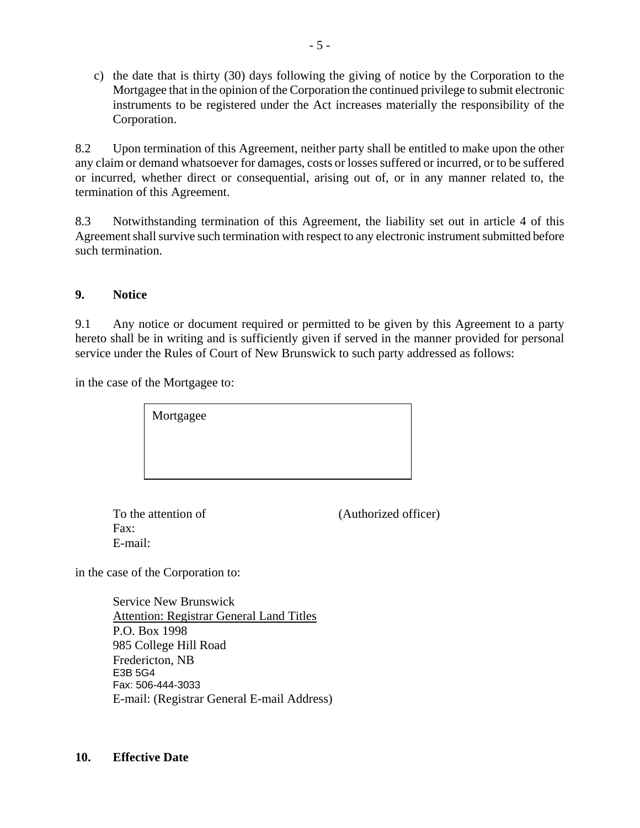c) the date that is thirty (30) days following the giving of notice by the Corporation to the Mortgagee that in the opinion of the Corporation the continued privilege to submit electronic instruments to be registered under the Act increases materially the responsibility of the Corporation.

8.2 Upon termination of this Agreement, neither party shall be entitled to make upon the other any claim or demand whatsoever for damages, costs or losses suffered or incurred, or to be suffered or incurred, whether direct or consequential, arising out of, or in any manner related to, the termination of this Agreement.

8.3 Notwithstanding termination of this Agreement, the liability set out in article 4 of this Agreement shall survive such termination with respect to any electronic instrument submitted before such termination.

#### **9. Notice**

9.1 Any notice or document required or permitted to be given by this Agreement to a party hereto shall be in writing and is sufficiently given if served in the manner provided for personal service under the Rules of Court of New Brunswick to such party addressed as follows:

in the case of the Mortgagee to:

 Fax: E-mail:

To the attention of (Authorized officer)

in the case of the Corporation to:

Service New Brunswick Attention: Registrar General Land Titles P.O. Box 1998 985 College Hill Road Fredericton, NB E3B 5G4 Fax: 506-444-3033 E-mail: (Registrar General E-mail Address)

#### **10. Effective Date**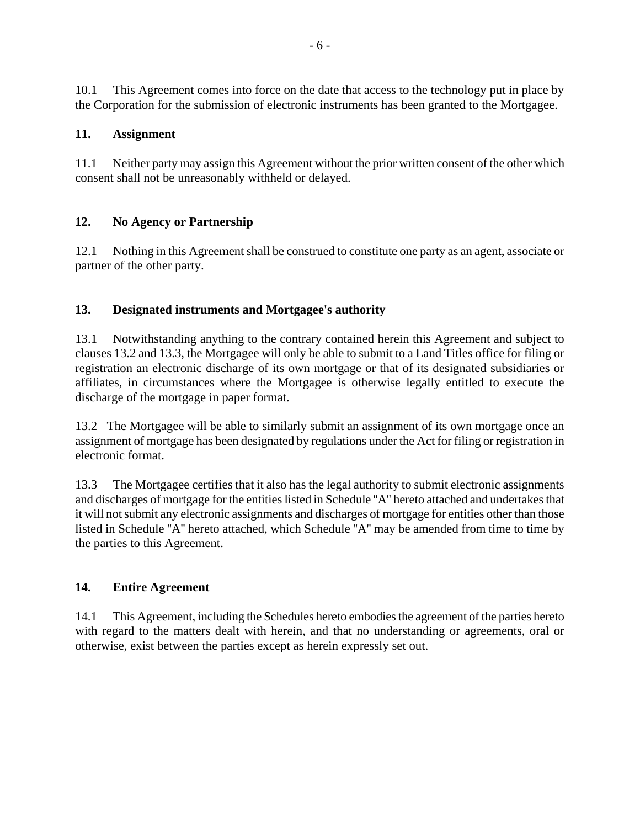10.1 This Agreement comes into force on the date that access to the technology put in place by the Corporation for the submission of electronic instruments has been granted to the Mortgagee.

# **11. Assignment**

11.1 Neither party may assign this Agreement without the prior written consent of the other which consent shall not be unreasonably withheld or delayed.

# **12. No Agency or Partnership**

12.1 Nothing in this Agreement shall be construed to constitute one party as an agent, associate or partner of the other party.

# **13. Designated instruments and Mortgagee's authority**

13.1 Notwithstanding anything to the contrary contained herein this Agreement and subject to clauses 13.2 and 13.3, the Mortgagee will only be able to submit to a Land Titles office for filing or registration an electronic discharge of its own mortgage or that of its designated subsidiaries or affiliates, in circumstances where the Mortgagee is otherwise legally entitled to execute the discharge of the mortgage in paper format.

13.2 The Mortgagee will be able to similarly submit an assignment of its own mortgage once an assignment of mortgage has been designated by regulations under the Act for filing or registration in electronic format.

13.3 The Mortgagee certifies that it also has the legal authority to submit electronic assignments and discharges of mortgage for the entities listed in Schedule ''A'' hereto attached and undertakes that it will not submit any electronic assignments and discharges of mortgage for entities other than those listed in Schedule ''A'' hereto attached, which Schedule ''A'' may be amended from time to time by the parties to this Agreement.

## **14. Entire Agreement**

14.1 This Agreement, including the Schedules hereto embodies the agreement of the parties hereto with regard to the matters dealt with herein, and that no understanding or agreements, oral or otherwise, exist between the parties except as herein expressly set out.